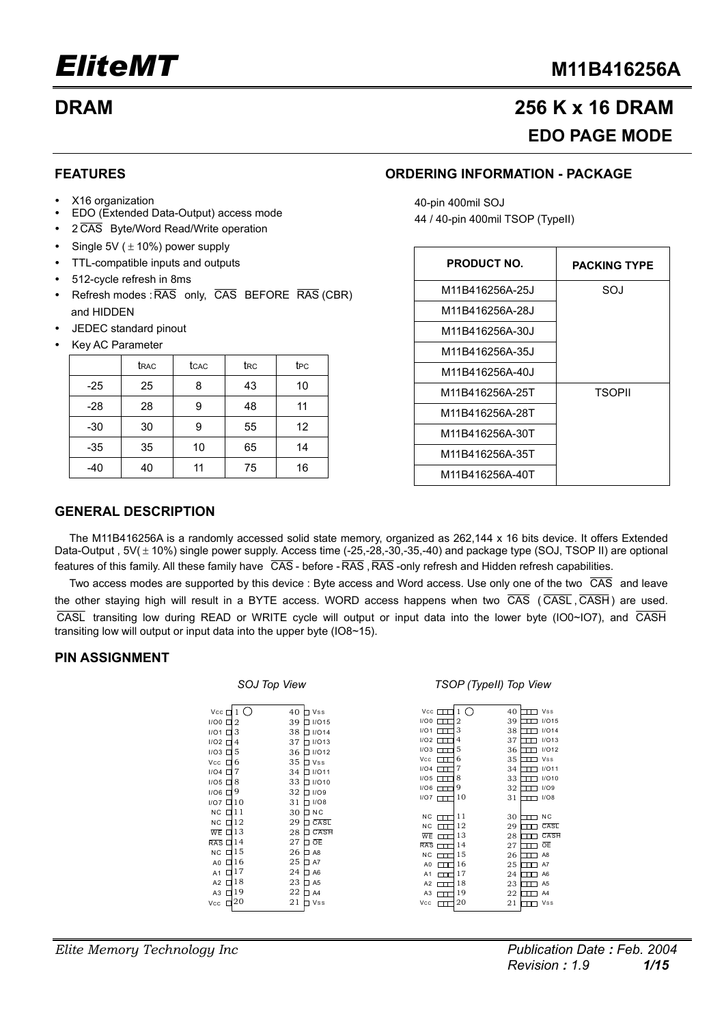## **DRAM 256 K x 16 DRAM EDO PAGE MODE**

### **FEATURES**

- X16 organization
- y EDO (Extended Data-Output) access mode
- 2  $\overline{CAS}$  Byte/Word Read/Write operation
- Single 5V ( $\pm$  10%) power supply
- TTL-compatible inputs and outputs
- 512-cycle refresh in 8ms
- Refresh modes : RAS only, CAS BEFORE RAS (CBR) and HIDDEN
- y JEDEC standard pinout
- Key AC Parameter

|       | t <sub>RAC</sub> | tcac | t <sub>RC</sub> | t <sub>PC</sub> |
|-------|------------------|------|-----------------|-----------------|
| $-25$ | 25               | ጸ    | 43              | 10              |
| $-28$ | 28               | 9    | 48              | 11              |
| $-30$ | 30               | 9    | 55              | 12              |
| $-35$ | 35               | 10   | 65              | 14              |
| $-40$ | 40               | 11   | 75              | 16              |

### **ORDERING INFORMATION - PACKAGE**

40-pin 400mil SOJ 44 / 40-pin 400mil TSOP (TypeII)

| <b>PRODUCT NO.</b> | <b>PACKING TYPE</b> |
|--------------------|---------------------|
| M11B416256A-25J    | SOJ                 |
| M11B416256A-28J    |                     |
| M11B416256A-30J    |                     |
| M11B416256A-35J    |                     |
| M11B416256A-40J    |                     |
| M11B416256A-25T    | <b>TSOPII</b>       |
| M11B416256A-28T    |                     |
| M11B416256A-30T    |                     |
| M11B416256A-35T    |                     |
| M11B416256A-40T    |                     |

### **GENERAL DESCRIPTION**

The M11B416256A is a randomly accessed solid state memory, organized as 262,144 x 16 bits device. It offers Extended Data-Output ,  $5V(\pm 10\%)$  single power supply. Access time (-25,-28,-30,-35,-40) and package type (SOJ, TSOP II) are optional features of this family. All these family have CAS - before - RAS, RAS -only refresh and Hidden refresh capabilities.

Two access modes are supported by this device : Byte access and Word access. Use only one of the two  $\overline{CAS}$  and leave the other staying high will result in a BYTE access. WORD access happens when two  $\overline{CAS}$  ( $\overline{CASH}$ ,  $\overline{CASH}$ ) are used. CASL transiting low during READ or WRITE cycle will output or input data into the lower byte (IO0~IO7), and CASH transiting low will output or input data into the upper byte (IO8~15).

### **PIN ASSIGNMENT**

#### *SOJ Top View TSOP (TypeII) Top View*

| $Vec$ $\Box$                     |                | 40<br>$\Box$ Vss    | Vec                 | 40<br>(              | <b>Vss</b>          |
|----------------------------------|----------------|---------------------|---------------------|----------------------|---------------------|
| 1/00                             | $\overline{2}$ | 39<br>$\Box$ I/O15  | I/OO<br>$\Box$      | 39<br>$\overline{2}$ | I/O15               |
| I/O1                             | 3              | 38<br>$\Box$ I/O14  | I/O1                | 3<br>38              | I/O14               |
| 1/02                             | 4              | 37<br>$\Box$ I/O13  | I/O2                | 37<br>4              | I/O13               |
| $1/03$ $\Box$                    | 5              | $\Box$ I/O12<br>36  | 1/03                | 5<br>36              | I/O12<br>┰┰╕        |
| Vcc<br>П                         | 6              | 35<br>$\Box$ Vss    | Vcc<br>┯            | 35<br>6              | <b>Vss</b>          |
| $1/04$ $\Box$                    | 7              | 34<br>$\Box$ I/O11  | I/O4<br>$\Box$      | 7<br>34              | I/O11<br>┓          |
| $1/05$ $\Box$                    | 8              | 33<br>$\Box$ I/O10  | 1/05                | 8<br>33              | I/O10               |
| $1/06$ $\Box$                    | 9              | 32<br>$\Box$ $1/OS$ | I/O6<br>Ш           | 9<br>32              | I/O9                |
| $1/07$ $\Box$ 10                 |                | $\Box$ I/O8<br>31   | $1/07$ $\Box$       | 10<br>31             | I/O8                |
| $NC$ $\Box$ 11                   |                | $\square$ NC<br>30  |                     |                      |                     |
| $NC$ $\Box$ 12                   |                | CASL<br>29<br>n.    | <b>NC</b><br>$\Box$ | 11<br>30             | N <sub>C</sub><br>ㅠ |
| $\overline{\text{WE}}$ $\Box$ 13 |                | 28<br>CASH<br>п     | <b>NC</b><br>┌┬┬    | 12<br>29             | CASL                |
| $\overline{RAS}$ $\Box$ 14       |                | 口正<br>27            | WE                  | 13<br>28             | CASH                |
| NC                               | $\Box$ 15      | 26<br>$\square$ A8  | <b>RAS</b>          | 14<br>27             | ŌE                  |
| A0                               | $\Box$ 16      | 25<br>$\square$ A7  | NC.                 | 15<br>26             | A8                  |
| A1 $\Box$ 17                     |                | 24<br>$\Box$ A6     | A <sub>0</sub><br>┰ | 16<br>25             | A7                  |
|                                  | $\Box$ 18      | 23<br>$\square$ A5  | A <sub>1</sub><br>┯ | 17<br>24             | A <sub>6</sub>      |
| A2                               | $\Box$ 19      | 22                  | A2<br>┍┯            | 18<br>23             | A <sub>5</sub>      |
| A <sub>3</sub>                   | 20             | $\Box$ A4           | A3                  | 19<br>22             | A <sub>4</sub>      |
| Vcc<br>□                         |                | 21<br>$\Box$ Vss    | Vcc                 | 20<br>21             | Vss                 |
|                                  |                |                     |                     |                      |                     |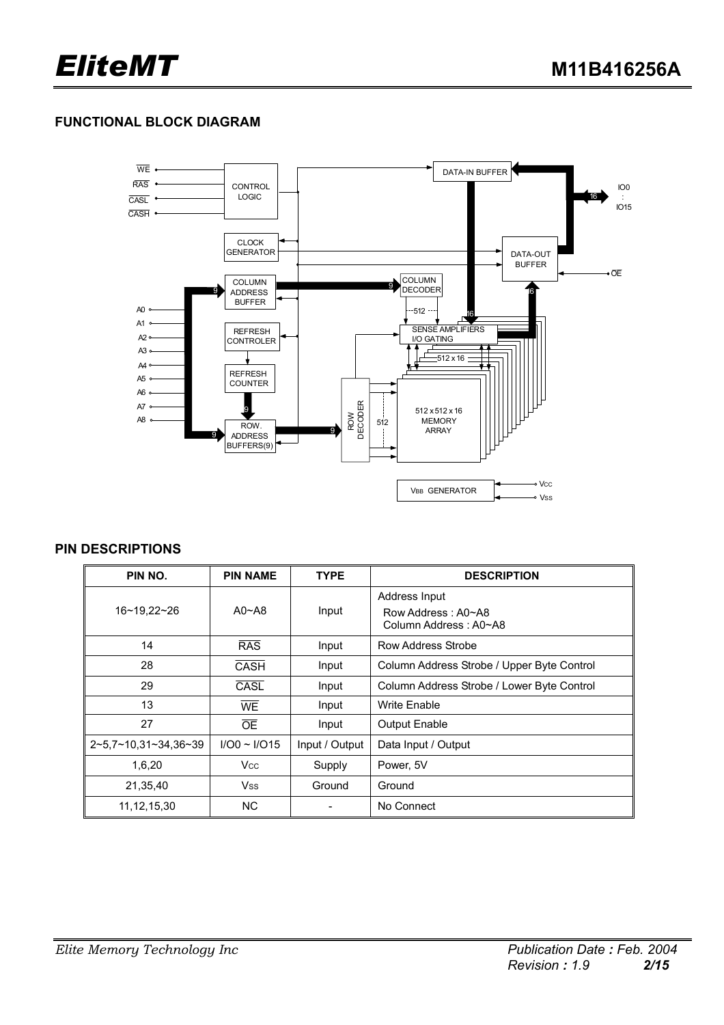### **FUNCTIONAL BLOCK DIAGRAM**



### **PIN DESCRIPTIONS**

| PIN NO.              | <b>PIN NAME</b>   | <b>TYPE</b>    | <b>DESCRIPTION</b>                                           |
|----------------------|-------------------|----------------|--------------------------------------------------------------|
| 16~19.22~26          | $A0 - A8$         | Input          | Address Input<br>Row Address: A0~A8<br>Column Address: A0~A8 |
| 14                   | <b>RAS</b>        | Input          | Row Address Strobe                                           |
| 28                   | <b>CASH</b>       | Input          | Column Address Strobe / Upper Byte Control                   |
| 29                   | CASL              | Input          | Column Address Strobe / Lower Byte Control                   |
| 13                   | <b>WE</b>         | Input          | <b>Write Enable</b>                                          |
| 27                   | <b>OE</b>         | Input          | <b>Output Enable</b>                                         |
| 2~5,7~10,31~34,36~39 | $I/O0 \sim I/O15$ | Input / Output | Data Input / Output                                          |
| 1,6,20               | <b>Vcc</b>        | Supply         | Power, 5V                                                    |
| 21,35,40             | <b>Vss</b>        | Ground         | Ground                                                       |
| 11, 12, 15, 30       | <b>NC</b>         |                | No Connect                                                   |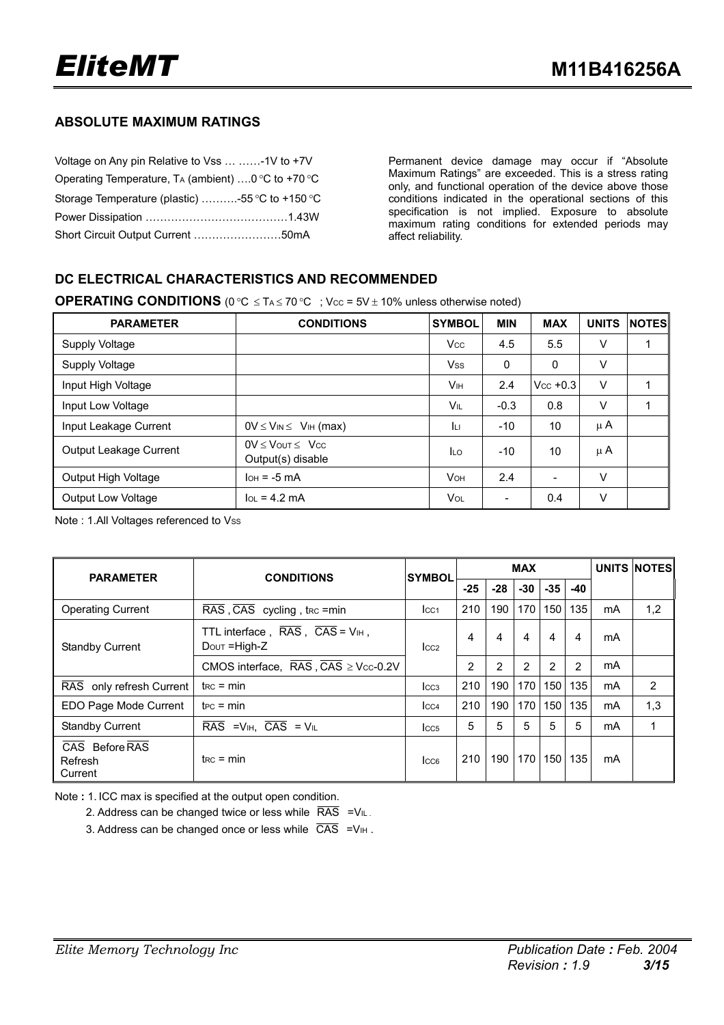### **ABSOLUTE MAXIMUM RATINGS**

| Voltage on Any pin Relative to Vss  -1V to +7V     |  |
|----------------------------------------------------|--|
| Operating Temperature, TA (ambient) 0 °C to +70 °C |  |
| Storage Temperature (plastic) -55 °C to +150 °C    |  |
|                                                    |  |
| Short Circuit Output Current 50mA                  |  |

Permanent device damage may occur if "Absolute Maximum Ratings" are exceeded. This is a stress rating only, and functional operation of the device above those conditions indicated in the operational sections of this specification is not implied. Exposure to absolute maximum rating conditions for extended periods may affect reliability.

### **DC ELECTRICAL CHARACTERISTICS AND RECOMMENDED**

**OPERATING CONDITIONS**  $(0 \degree C \leq T_A \leq 70 \degree C)$ ; Vcc =  $5V \pm 10\%$  unless otherwise noted)

| <b>PARAMETER</b>          | <b>CONDITIONS</b>                              | <b>SYMBOL</b>         | <b>MIN</b> | <b>MAX</b>  | <b>UNITS</b> | <b>NOTES</b> |
|---------------------------|------------------------------------------------|-----------------------|------------|-------------|--------------|--------------|
| Supply Voltage            |                                                | <b>Vcc</b>            | 4.5        | 5.5         | v            |              |
| Supply Voltage            |                                                | <b>Vss</b>            | $\Omega$   | 0           | ٧            |              |
| Input High Voltage        |                                                | Vн                    | 2.4        | $Vec + 0.3$ | $\vee$       |              |
| Input Low Voltage         |                                                | VIL                   | $-0.3$     | 0.8         | v            |              |
| Input Leakage Current     | $0V \leq V_{IN} \leq V_{IH}$ (max)             | Īц                    | $-10$      | 10          | μ $A$        |              |
| Output Leakage Current    | $OV \le V$ OUT $\le V$ CC<br>Output(s) disable | <b>ILO</b>            | $-10$      | 10          | μ $A$        |              |
| Output High Voltage       | $IOH = -5 mA$                                  | <b>V<sub>OH</sub></b> | 2.4        |             | V            |              |
| <b>Output Low Voltage</b> | $\ln = 4.2 \text{ mA}$                         | <b>Vol</b>            |            | 0.4         | v            |              |

Note : 1.All Voltages referenced to Vss

| <b>PARAMETER</b>                     | <b>CONDITIONS</b>                                                                         | <b>SYMBOL</b>    |                |                | <b>MAX</b> |                  | UNITS NOTES |    |     |
|--------------------------------------|-------------------------------------------------------------------------------------------|------------------|----------------|----------------|------------|------------------|-------------|----|-----|
|                                      |                                                                                           |                  | $-25$          | $-28$          | $-30$      | $-35$            | $-40$       |    |     |
| <b>Operating Current</b>             | $\overline{\text{RAS}}$ , $\overline{\text{CAS}}$ cycling, t <sub>rc</sub> = min          | Icc <sub>1</sub> | 210            | 190            | 170        | 150              | 135         | mA | 1,2 |
| <b>Standby Current</b>               | TTL interface, $\overline{RAS}$ , $\overline{CAS}$ = $V_{\text{IH}}$ ,<br>$Down = High-Z$ | $_{\text{LCC2}}$ | 4              | 4              | 4          | 4                | 4           | mA |     |
|                                      | CMOS interface, $\overline{RAS}$ , $\overline{CAS}$ $\geq$ Vcc-0.2V                       |                  | $\overline{2}$ | $\overline{2}$ | 2          | 2                | 2           | mA |     |
| RAS only refresh Current             | $t_{RC}$ = min                                                                            | $_{\text{LCG}}$  | 210            | 190            | 170        | 150              | 135         | mA | 2   |
| EDO Page Mode Current                | $tec = min$                                                                               | $ _{CC4}$        | 210            | 190            | 170        | 150              | 135         | mA | 1,3 |
| <b>Standby Current</b>               | $\overline{\text{RAS}}$ = $V_{\text{IH}}$ , $\overline{\text{CAS}}$ = $V_{\text{IL}}$     | Icc <sub>5</sub> | 5              | 5              | 5          | 5                | 5           | mA |     |
| CAS Before RAS<br>Refresh<br>Current | $t_{RC}$ = min                                                                            | Icc <sub>6</sub> | 210            | 190            | 170        | 150 <sub>1</sub> | 135         | mA |     |

Note **:** 1. ICC max is specified at the output open condition.

2. Address can be changed twice or less while  $\overline{RAS}$  = V<sub>IL</sub>.

3. Address can be changed once or less while  $\overline{CAS}$  =V<sub>IH</sub>.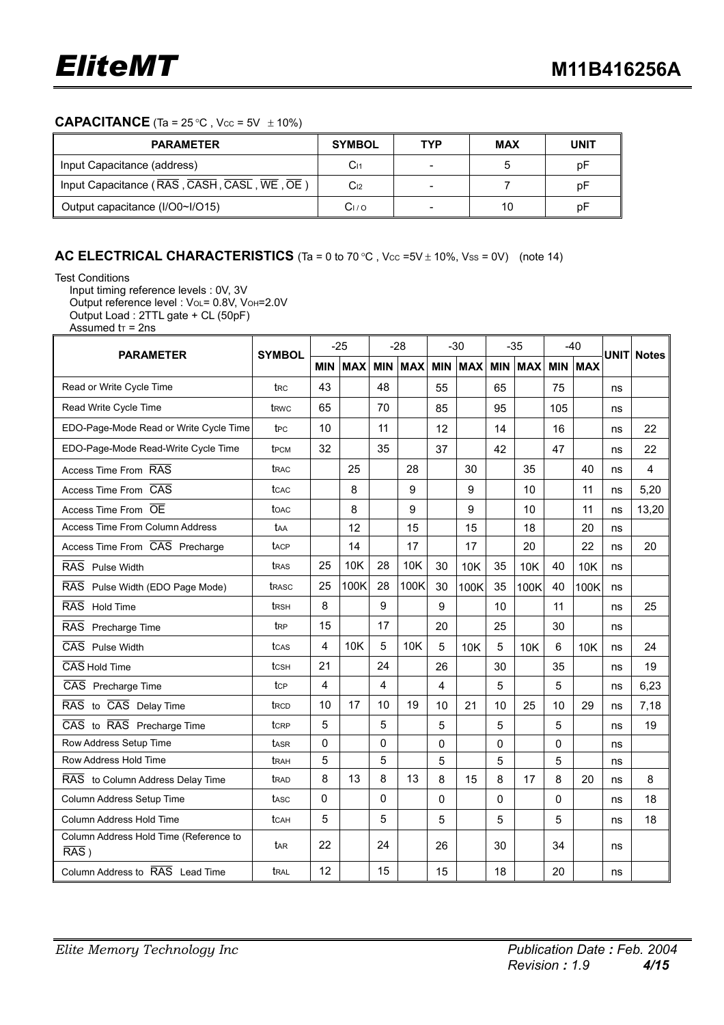### **CAPACITANCE** (Ta =  $25 \degree C$ , Vcc =  $5V \pm 10\%$ )

| <b>PARAMETER</b>                            | <b>SYMBOL</b>   | TYP | MAX | UNIT |
|---------------------------------------------|-----------------|-----|-----|------|
| Input Capacitance (address)                 | C <sub>11</sub> |     |     | pF   |
| Input Capacitance (RAS, CASH, CASL, WE, OE) | C <sub>12</sub> |     |     | рF   |
| Output capacitance (I/O0~I/O15)             | Cı ⁄ o          |     | 10  | рF   |

### **AC ELECTRICAL CHARACTERISTICS** (Ta = 0 to 70 °C, Vcc =5V  $\pm$  10%, Vss = 0V) (note 14)

Test Conditions

Input timing reference levels : 0V, 3V

Output reference level : VoL= 0.8V, VoH=2.0V Output Load : 2TTL gate + CL (50pF)

Assumed  $tr = 2ns$ 

| <b>PARAMETER</b>                                  | <b>SYMBOL</b>    | $-25$                   |            | $-28$          |            | $-30$ |                | $-35$      |            | $-40$ |                |    | <b>UNIT Notes</b> |
|---------------------------------------------------|------------------|-------------------------|------------|----------------|------------|-------|----------------|------------|------------|-------|----------------|----|-------------------|
|                                                   |                  | <b>MIN</b>              | <b>MAX</b> | <b>MIN</b>     | <b>MAX</b> |       | <b>MIN MAX</b> | <b>MIN</b> | <b>MAX</b> |       | <b>MIN MAX</b> |    |                   |
| Read or Write Cycle Time                          | t <sub>RC</sub>  | 43                      |            | 48             |            | 55    |                | 65         |            | 75    |                | ns |                   |
| Read Write Cycle Time                             | t <sub>RWC</sub> | 65                      |            | 70             |            | 85    |                | 95         |            | 105   |                | ns |                   |
| EDO-Page-Mode Read or Write Cycle Time            | t <sub>PC</sub>  | 10                      |            | 11             |            | 12    |                | 14         |            | 16    |                | ns | 22                |
| EDO-Page-Mode Read-Write Cycle Time               | t <sub>PCM</sub> | 32                      |            | 35             |            | 37    |                | 42         |            | 47    |                | ns | 22                |
| Access Time From RAS                              | trac             |                         | 25         |                | 28         |       | 30             |            | 35         |       | 40             | ns | 4                 |
| Access Time From CAS                              | tcac             |                         | 8          |                | 9          |       | 9              |            | 10         |       | 11             | ns | 5,20              |
| Access Time From OE                               | toac             |                         | 8          |                | 9          |       | 9              |            | 10         |       | 11             | ns | 13,20             |
| <b>Access Time From Column Address</b>            | taa              |                         | 12         |                | 15         |       | 15             |            | 18         |       | 20             | ns |                   |
| Access Time From CAS Precharge                    | tacp             |                         | 14         |                | 17         |       | 17             |            | 20         |       | 22             | ns | 20                |
| RAS Pulse Width                                   | tras             | 25                      | 10K        | 28             | 10K        | 30    | 10K            | 35         | 10K        | 40    | <b>10K</b>     | ns |                   |
| RAS Pulse Width (EDO Page Mode)                   | trasc            | 25                      | 100K       | 28             | 100K       | 30    | 100K           | 35         | 100K       | 40    | 100K           | ns |                   |
| <b>RAS</b><br><b>Hold Time</b>                    | t <sub>RSH</sub> | 8                       |            | 9              |            | 9     |                | 10         |            | 11    |                | ns | 25                |
| RAS Precharge Time                                | t <sub>RP</sub>  | 15                      |            | 17             |            | 20    |                | 25         |            | 30    |                | ns |                   |
| CAS Pulse Width                                   | tcas             | $\overline{\mathbf{4}}$ | 10K        | 5              | <b>10K</b> | 5     | 10K            | 5          | <b>10K</b> | 6     | <b>10K</b>     | ns | 24                |
| CAS Hold Time                                     | tcsн             | 21                      |            | 24             |            | 26    |                | 30         |            | 35    |                | ns | 19                |
| CAS Precharge Time                                | tcp              | 4                       |            | $\overline{4}$ |            | 4     |                | 5          |            | 5     |                | ns | 6,23              |
| RAS to CAS Delay Time                             | t <sub>RCD</sub> | 10                      | 17         | 10             | 19         | 10    | 21             | 10         | 25         | 10    | 29             | ns | 7,18              |
| CAS to RAS Precharge Time                         | tcRP             | 5                       |            | 5              |            | 5     |                | 5          |            | 5     |                | ns | 19                |
| Row Address Setup Time                            | tasr             | $\mathbf 0$             |            | $\Omega$       |            | 0     |                | 0          |            | 0     |                | ns |                   |
| Row Address Hold Time                             | t <sub>RAH</sub> | 5                       |            | 5              |            | 5     |                | 5          |            | 5     |                | ns |                   |
| RAS to Column Address Delay Time                  | t <sub>RAD</sub> | 8                       | 13         | 8              | 13         | 8     | 15             | 8          | 17         | 8     | 20             | ns | 8                 |
| Column Address Setup Time                         | tasc             | 0                       |            | $\Omega$       |            | 0     |                | 0          |            | 0     |                | ns | 18                |
| Column Address Hold Time                          | tcah             | 5                       |            | 5              |            | 5     |                | 5          |            | 5     |                | ns | 18                |
| Column Address Hold Time (Reference to<br>$RAS$ ) | t <sub>AR</sub>  | 22                      |            | 24             |            | 26    |                | 30         |            | 34    |                | ns |                   |
| Column Address to RAS Lead Time                   | t <sub>RAL</sub> | 12                      |            | 15             |            | 15    |                | 18         |            | 20    |                | ns |                   |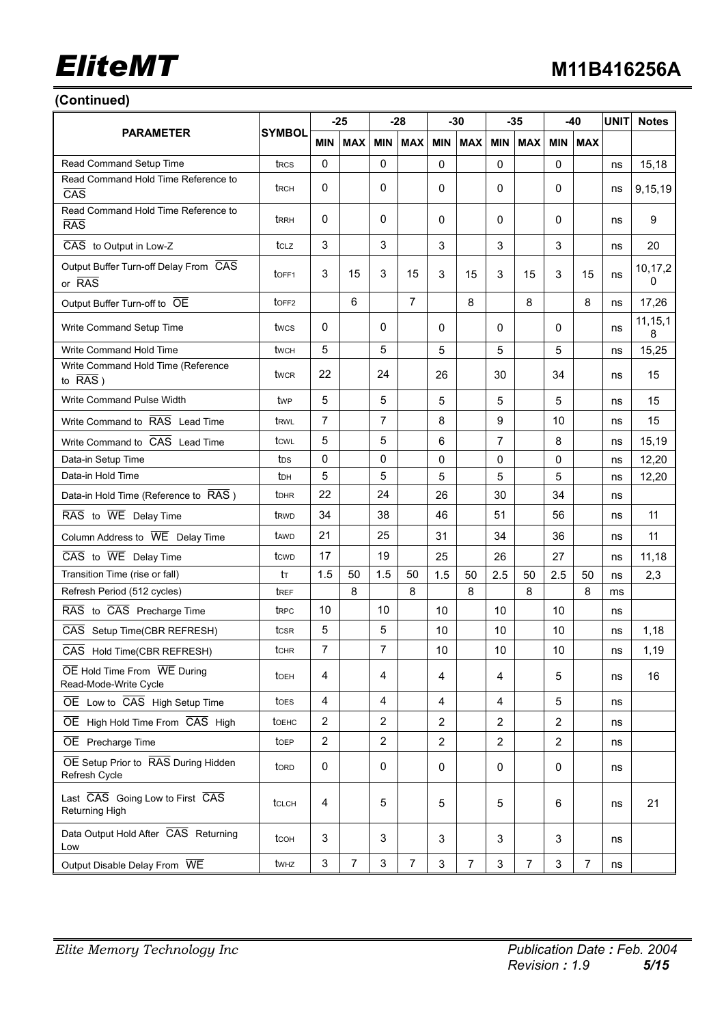### **(Continued)**

|                                                                                |                         | $-25$                     |                | $-28$          |                | $-30$          |                | $-35$          |                | -40            |            | <b>UNIT</b> | <b>Notes</b>   |
|--------------------------------------------------------------------------------|-------------------------|---------------------------|----------------|----------------|----------------|----------------|----------------|----------------|----------------|----------------|------------|-------------|----------------|
| <b>PARAMETER</b>                                                               | <b>SYMBOL</b>           | <b>MIN</b>                | <b>MAX</b>     | <b>MIN</b>     | <b>MAX</b>     | <b>MIN</b>     | <b>MAX</b>     | <b>MIN</b>     | <b>MAX</b>     | <b>MIN</b>     | <b>MAX</b> |             |                |
| Read Command Setup Time                                                        | t <sub>RCS</sub>        | $\mathbf 0$               |                | 0              |                | $\Omega$       |                | 0              |                | 0              |            | ns          | 15,18          |
| Read Command Hold Time Reference to<br>$\overline{CAS}$                        | t <sub>RCH</sub>        | 0                         |                | 0              |                | 0              |                | 0              |                | 0              |            | ns          | 9,15,19        |
| Read Command Hold Time Reference to<br><b>RAS</b>                              | t <sub>RRH</sub>        | 0                         |                | 0              |                | 0              |                | 0              |                | 0              |            | ns          | 9              |
| CAS to Output in Low-Z                                                         | tclz                    | 3                         |                | 3              |                | 3              |                | 3              |                | 3              |            | ns          | 20             |
| Output Buffer Turn-off Delay From CAS<br>or RAS                                | toff1                   | 3                         | 15             | 3              | 15             | 3              | 15             | 3              | 15             | 3              | 15         | ns          | 10,17,2<br>0   |
| Output Buffer Turn-off to OE                                                   | toff <sub>2</sub>       |                           | 6              |                | $\overline{7}$ |                | 8              |                | 8              |                | 8          | ns          | 17,26          |
| Write Command Setup Time                                                       | twcs                    | 0                         |                | 0              |                | 0              |                | 0              |                | 0              |            | ns          | 11, 15, 1<br>8 |
| Write Command Hold Time                                                        | twcн                    | 5                         |                | 5              |                | 5              |                | 5              |                | 5              |            | ns          | 15,25          |
| Write Command Hold Time (Reference<br>to $\overline{RAS}$ )                    | twcr                    | 22                        |                | 24             |                | 26             |                | 30             |                | 34             |            | ns          | 15             |
| Write Command Pulse Width                                                      | twp                     | 5                         |                | 5              |                | 5              |                | 5              |                | 5              |            | ns          | 15             |
| Write Command to RAS Lead Time                                                 | t <sub>RWL</sub>        | $\overline{7}$            |                | $\overline{7}$ |                | 8              |                | 9              |                | 10             |            | ns          | 15             |
| Write Command to CAS Lead Time                                                 | tcwl                    | 5                         |                | 5              |                | 6              |                | 7              |                | 8              |            | ns          | 15,19          |
| Data-in Setup Time                                                             | tos                     | 0                         |                | 0              |                | 0              |                | 0              |                | 0              |            | ns          | 12,20          |
| Data-in Hold Time                                                              | tрн                     | 5                         |                | 5              |                | 5              |                | 5              |                | 5              |            | ns          | 12,20          |
| Data-in Hold Time (Reference to RAS)                                           | <b>t</b> <sub>DHR</sub> | 22                        |                | 24             |                | 26             |                | 30             |                | 34             |            | ns          |                |
| $\overline{\text{RAS}}$ to $\overline{\text{WE}}$ Delay Time                   | t <sub>RWD</sub>        | 34                        |                | 38             |                | 46             |                | 51             |                | 56             |            | ns          | 11             |
| Column Address to WE Delay Time                                                | tawp                    | 21                        |                | 25             |                | 31             |                | 34             |                | 36             |            | ns          | 11             |
| $\overline{CAS}$ to $\overline{WE}$ Delay Time                                 | tcwp                    | 17                        |                | 19             |                | 25             |                | 26             |                | 27             |            | ns          | 11,18          |
| Transition Time (rise or fall)                                                 | tт                      | 1.5                       | 50             | 1.5            | 50             | 1.5            | 50             | 2.5            | 50             | 2.5            | 50         | ns          | 2,3            |
| Refresh Period (512 cycles)                                                    | t <sub>REF</sub>        |                           | 8              |                | 8              |                | 8              |                | 8              |                | 8          | ms          |                |
| RAS to CAS Precharge Time                                                      | t <sub>RPC</sub>        | 10                        |                | 10             |                | 10             |                | 10             |                | 10             |            | ns          |                |
| CAS Setup Time(CBR REFRESH)                                                    | tcsR                    | 5                         |                | 5              |                | 10             |                | 10             |                | 10             |            | ns          | 1,18           |
| CAS Hold Time(CBR REFRESH)                                                     | tchr                    | $\overline{7}$            |                | 7              |                | 10             |                | 10             |                | 10             |            | ns          | 1,19           |
| $\overline{OE}$ Hold Time From $\overline{WE}$ During<br>Read-Mode-Write Cycle | toeh                    | 4                         |                | 4              |                | 4              |                | 4              |                | 5              |            | ns          | 16             |
| OE Low to CAS High Setup Time                                                  | toes                    | $\overline{4}$            |                | 4              |                | 4              |                | 4              |                | 5              |            | ns          |                |
| OE High Hold Time From CAS High                                                | toehc                   | $\overline{2}$            |                | 2              |                | $\overline{2}$ |                | $\overline{2}$ |                | $\overline{2}$ |            | ns          |                |
| OE Precharge Time                                                              | toEP                    | $\boldsymbol{2}$          |                | $\overline{2}$ |                | $\overline{2}$ |                | $\overline{2}$ |                | 2              |            | ns          |                |
| OE Setup Prior to RAS During Hidden<br>Refresh Cycle                           | tord                    | $\mathbf 0$               |                | $\mathbf 0$    |                | 0              |                | 0              |                | $\mathbf{0}$   |            | ns          |                |
| Last CAS Going Low to First CAS<br>Returning High                              | <b>t</b> CLCH           | 4                         |                | 5              |                | 5              |                | 5              |                | 6              |            | ns          | 21             |
| Data Output Hold After CAS Returning<br>Low                                    | tcoh                    | 3                         |                | 3              |                | 3              |                | 3              |                | 3              |            | ns          |                |
| Output Disable Delay From WE                                                   | twhz                    | $\ensuremath{\mathsf{3}}$ | $\overline{7}$ | 3              | $\overline{7}$ | 3              | $\overline{7}$ | 3              | $\overline{7}$ | 3              | 7          | ns          |                |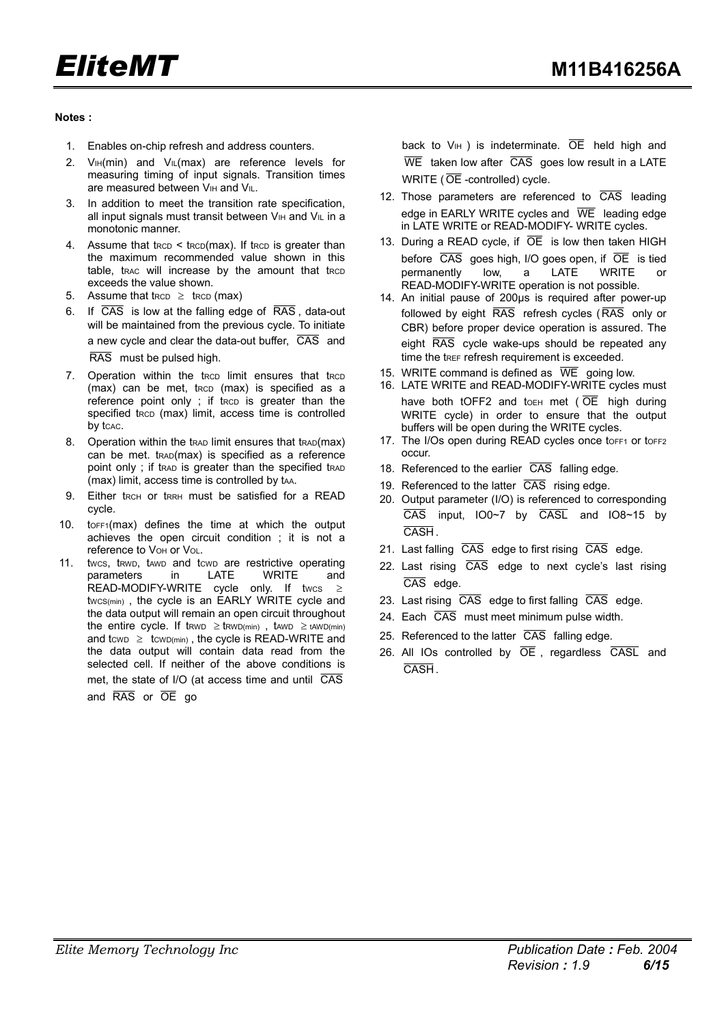#### **Notes :**

- 1. Enables on-chip refresh and address counters.
- 2.  $V<sub>IH</sub>(min)$  and  $V<sub>IL</sub>(max)$  are reference levels for measuring timing of input signals. Transition times are measured between VIH and VIL.
- 3. In addition to meet the transition rate specification, all input signals must transit between  $V_{\text{IH}}$  and  $V_{\text{II}}$  in a monotonic manner.
- 4. Assume that  $t_{RCD} < t_{RCD}(max)$ . If  $t_{RCD}$  is greater than the maximum recommended value shown in this table, trac will increase by the amount that trcp exceeds the value shown.
- 5. Assume that trep  $\ge$  trep (max)
- 6. If CAS is low at the falling edge of RAS , data-out will be maintained from the previous cycle. To initiate a new cycle and clear the data-out buffer, CAS and RAS must be pulsed high.
- 7. Operation within the trcp limit ensures that trcp (max) can be met, tRCD (max) is specified as a reference point only ; if tRCD is greater than the specified tRCD (max) limit, access time is controlled by tcac.
- 8. Operation within the trap limit ensures that trap(max) can be met. tRAD(max) is specified as a reference point only; if trap is greater than the specified trap (max) limit, access time is controlled by tAA.
- 9. Either tRCH or tRRH must be satisfied for a READ cycle.
- 10. tOFF1(max) defines the time at which the output achieves the open circuit condition ; it is not a reference to VoH or VoL.
- 11. twcs, tRWD, tAWD and tcwD are restrictive operating<br>parameters in LATE WRITE and parameters in LATE WRITE and READ-MODIFY-WRITE cycle only. If twcs  $\geq$ twcs(min), the cycle is an EARLY WRITE cycle and the data output will remain an open circuit throughout the entire cycle. If trave  $\ge$  trwp(min), tawp  $\ge$  tawp(min) and tcwp  $\geq$  tcwp(min), the cycle is READ-WRITE and the data output will contain data read from the selected cell. If neither of the above conditions is met, the state of I/O (at access time and until  $\overline{CAS}$ and RAS or OE go

back to  $V_{\text{IH}}$  ) is indeterminate.  $\overline{OE}$  held high and  $\overline{\text{WE}}$  taken low after  $\overline{\text{CAS}}$  goes low result in a LATE WRITE ( $\overline{OE}$  -controlled) cycle.

- 12. Those parameters are referenced to  $\overline{CAS}$  leading edge in EARLY WRITE cycles and WE leading edge in LATE WRITE or READ-MODIFY- WRITE cycles.
- 13. During a READ cycle, if  $\overline{OE}$  is low then taken HIGH before  $\overline{CAS}$  goes high, I/O goes open, if  $\overline{OE}$  is tied permanently low, a LATE WRITE READ-MODIFY-WRITE operation is not possible.
- 14. An initial pause of 200µs is required after power-up followed by eight  $\overline{RAS}$  refresh cycles ( $\overline{RAS}$  only or CBR) before proper device operation is assured. The eight RAS cycle wake-ups should be repeated any time the tREF refresh requirement is exceeded.
- 15. WRITE command is defined as  $\overline{WE}$  going low.
- 16. LATE WRITE and READ-MODIFY-WRITE cycles must have both tOFF2 and toEH met ( $\overline{OE}$  high during WRITE cycle) in order to ensure that the output buffers will be open during the WRITE cycles.
- 17. The I/Os open during READ cycles once toFF1 or toFF2 occur.
- 18. Referenced to the earlier CAS falling edge.
- 19. Referenced to the latter  $\overline{CAS}$  rising edge.
- 20. Output parameter (I/O) is referenced to corresponding  $\overline{CAS}$  input, IO0~7 by  $\overline{CASL}$  and IO8~15 by CASH .
- 21. Last falling  $\overline{CAS}$  edge to first rising  $\overline{CAS}$  edge.
- 22. Last rising CAS edge to next cycle's last rising CAS edge.
- 23. Last rising  $\overline{CAS}$  edge to first falling  $\overline{CAS}$  edge.
- 24. Each CAS must meet minimum pulse width.
- 25. Referenced to the latter  $\overline{CAS}$  falling edge.
- 26. All IOs controlled by  $\overline{OE}$ , regardless  $\overline{CASL}$  and CASH .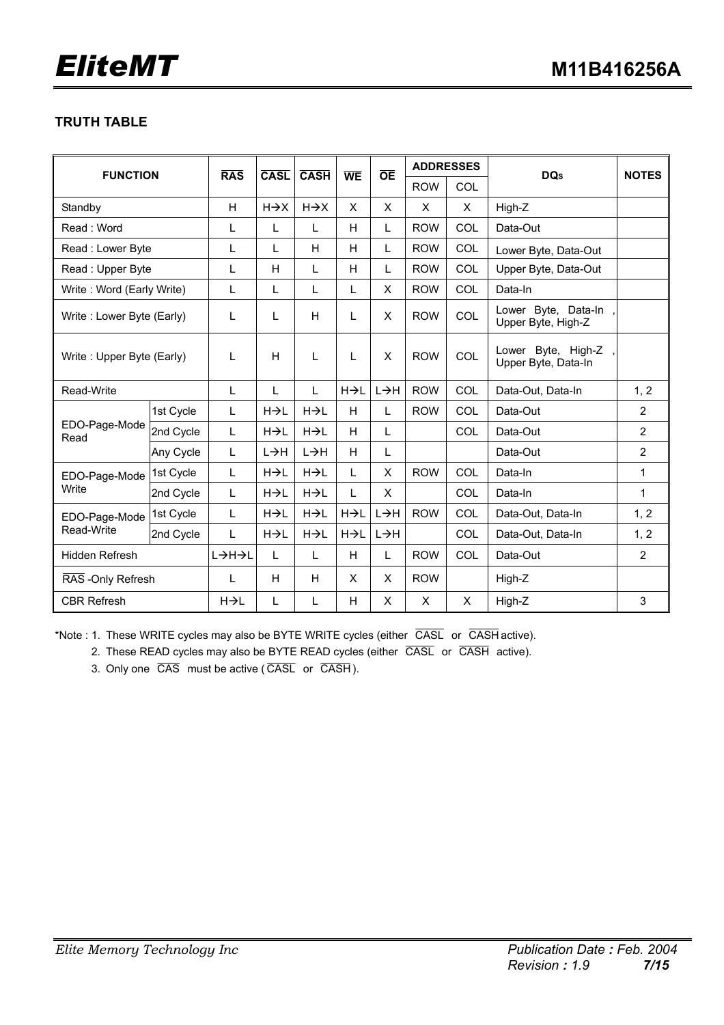### **TRUTH TABLE**

| <b>FUNCTION</b>           |           | <b>RAS</b>   | <b>CASL</b>       | <b>CASH</b>       | <b>WE</b> | <b>OE</b> | <b>ADDRESSES</b> |            | <b>DQs</b>                                | <b>NOTES</b>   |
|---------------------------|-----------|--------------|-------------------|-------------------|-----------|-----------|------------------|------------|-------------------------------------------|----------------|
|                           |           |              |                   |                   |           |           | <b>ROW</b>       | COL        |                                           |                |
| Standby                   |           | H            | $H \rightarrow X$ | $H \rightarrow X$ | X         | X         | X                | X          | High-Z                                    |                |
| Read: Word                |           | L            | L                 | L                 | H         | L         | <b>ROW</b>       | COL        | Data-Out                                  |                |
| Read: Lower Byte          |           | L            | L                 | H                 | H         | L         | <b>ROW</b>       | COL        | Lower Byte, Data-Out                      |                |
| Read: Upper Byte          |           | L            | H                 | L                 | H         | L         | <b>ROW</b>       | COL        | Upper Byte, Data-Out                      |                |
| Write: Word (Early Write) |           | L            | L                 | L                 | L         | X         | <b>ROW</b>       | COL        | Data-In                                   |                |
| Write: Lower Byte (Early) |           | L            | L                 | Н                 | L         | X         | <b>ROW</b>       | COL        | Lower Byte, Data-In<br>Upper Byte, High-Z |                |
| Write: Upper Byte (Early) |           | L            | H                 | L                 | L         | X         | <b>ROW</b>       | COL        | Lower Byte, High-Z<br>Upper Byte, Data-In |                |
| Read-Write                |           | L            | L                 | L                 | H→L       | L→H       | <b>ROW</b>       | <b>COL</b> | Data-Out, Data-In                         | 1, 2           |
|                           | 1st Cycle | L            | H→L               | H→L               | H         | L         | <b>ROW</b>       | COL        | Data-Out                                  | $\overline{2}$ |
| EDO-Page-Mode<br>Read     | 2nd Cycle | L            | H→L               | H→L               | H         | L         |                  | COL        | Data-Out                                  | $\overline{2}$ |
|                           | Any Cycle | L            | L→H               | L→H               | H         | L         |                  |            | Data-Out                                  | $\overline{2}$ |
| EDO-Page-Mode             | 1st Cycle | $\mathsf{L}$ | $H\rightarrow L$  | H→L               | L         | X         | <b>ROW</b>       | COL        | Data-In                                   | 1              |
| Write                     | 2nd Cycle | L            | H→L               | H→L               | L         | X         |                  | COL        | Data-In                                   | 1              |
| EDO-Page-Mode             | 1st Cycle | L            | $H\rightarrow L$  | H→L               | HIL       | L→H       | <b>ROW</b>       | COL        | Data-Out, Data-In                         | 1, 2           |
| Read-Write                | 2nd Cycle | L            | $H\rightarrow L$  | H→L               | HIL       | L→H       |                  | COL        | Data-Out, Data-In                         | 1, 2           |
| Hidden Refresh            |           |              | L                 | L                 | H         | L         | <b>ROW</b>       | COL        | Data-Out                                  | $\overline{2}$ |
| RAS - Only Refresh        |           | L            | H                 | H                 | X         | X         | <b>ROW</b>       |            | High-Z                                    |                |
| <b>CBR Refresh</b>        |           | H→L          | L                 | L                 | H         | X         | X                | X          | High-Z                                    | 3              |

\*Note : 1. These WRITE cycles may also be BYTE WRITE cycles (either  $\overline{CASL}$  or  $\overline{CASH}$  active).

2. These READ cycles may also be BYTE READ cycles (either CASL or CASH active).

3. Only one  $\overline{CAS}$  must be active ( $\overline{CASL}$  or  $\overline{CASH}$ ).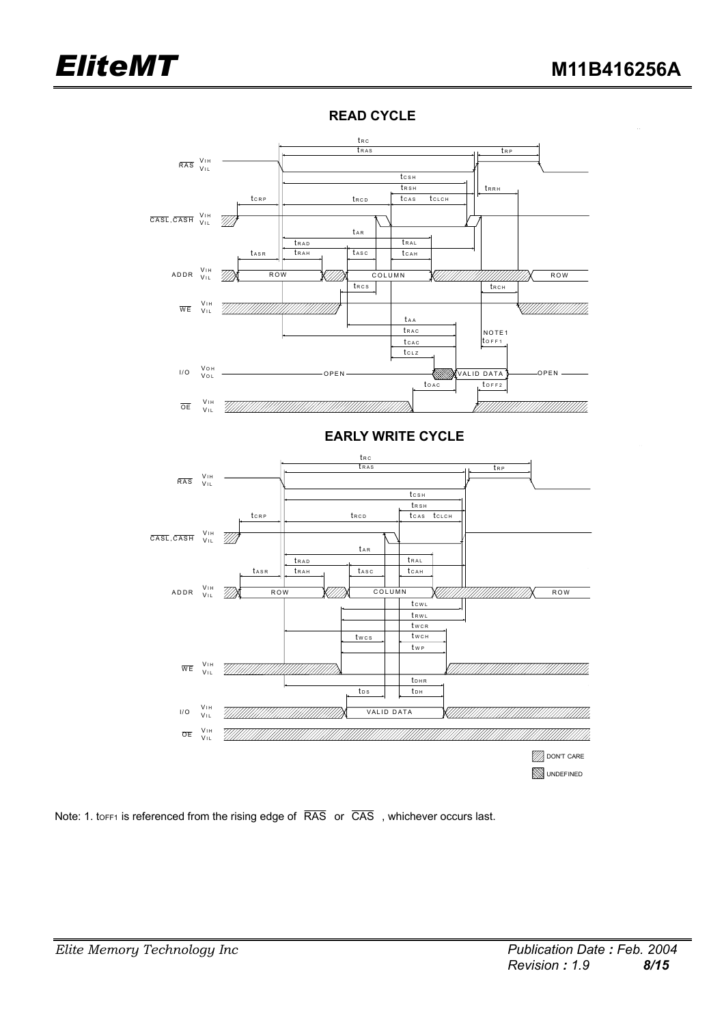$\ddot{\phantom{a}}$ 



### **READ CYCLE**



Note: 1. toFF1 is referenced from the rising edge of  $\overline{RAS}$  or  $\overline{CAS}$ , whichever occurs last.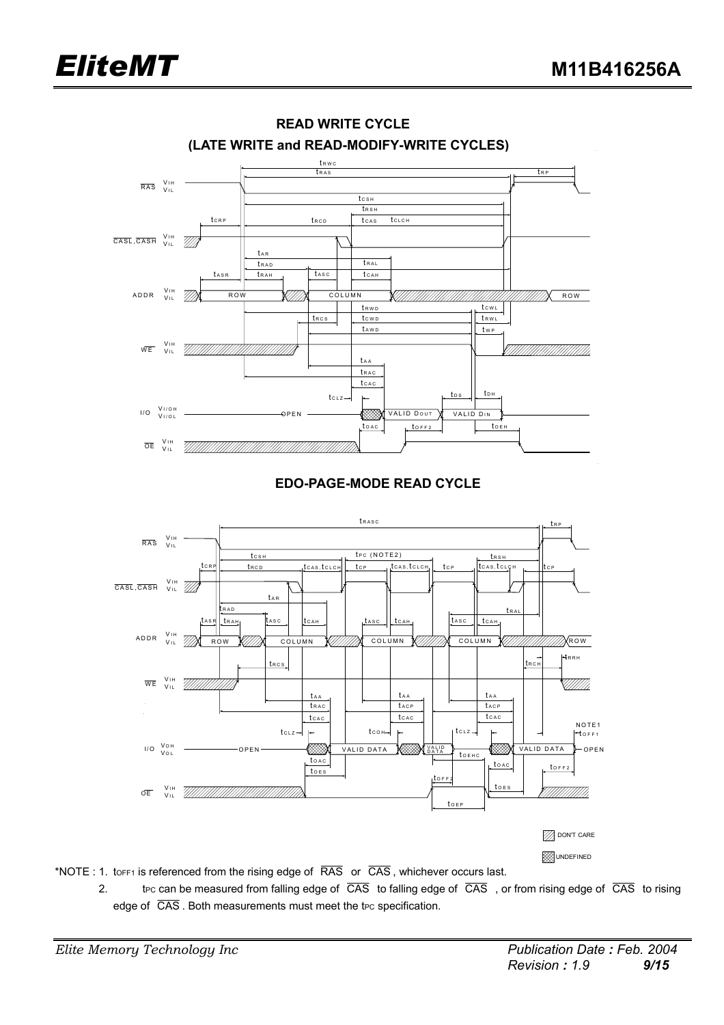



**READ WRITE CYCLE**

- \*NOTE : 1. torest is referenced from the rising edge of  $\overline{RAS}$  or  $\overline{CAS}$ , whichever occurs last.
	- 2. the can be measured from falling edge of  $\overline{CAS}$  to falling edge of  $\overline{CAS}$ , or from rising edge of  $\overline{CAS}$  to rising edge of  $\overline{CAS}$ . Both measurements must meet the t<sub>PC</sub> specification.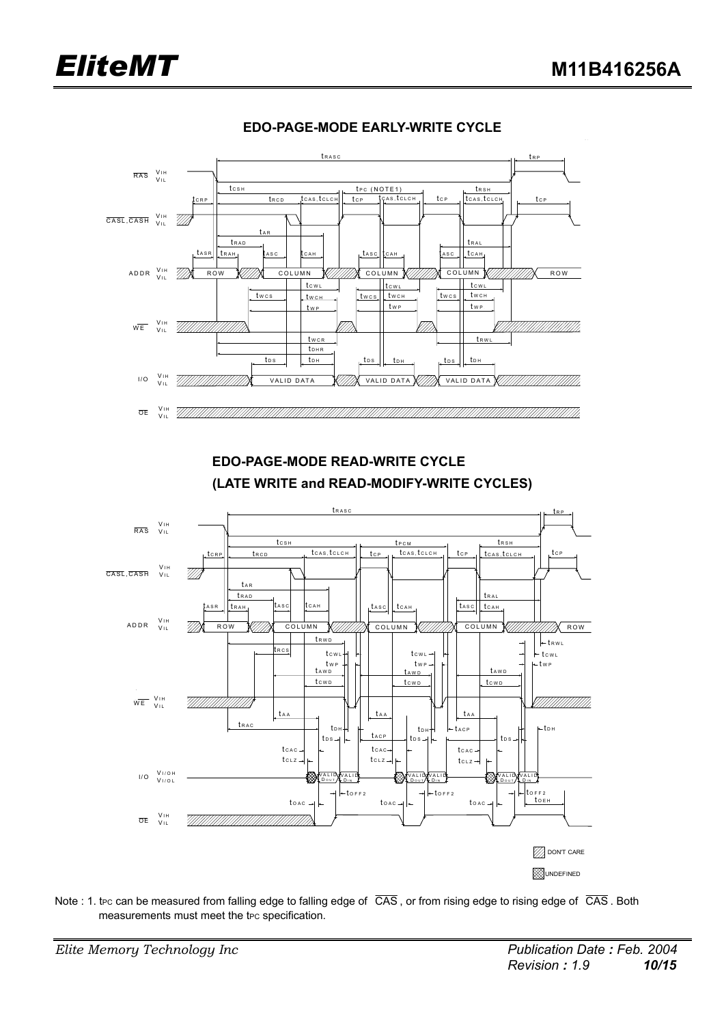

### **EDO-PAGE-MODE EARLY-WRITE CYCLE**

 **EDO-PAGE-MODE READ-WRITE CYCLE (LATE WRITE and READ-MODIFY-WRITE CYCLES)** 



Note : 1. tec can be measured from falling edge to falling edge of  $\overline{CAS}$ , or from rising edge to rising edge of  $\overline{CAS}$ . Both measurements must meet the t<sub>PC</sub> specification.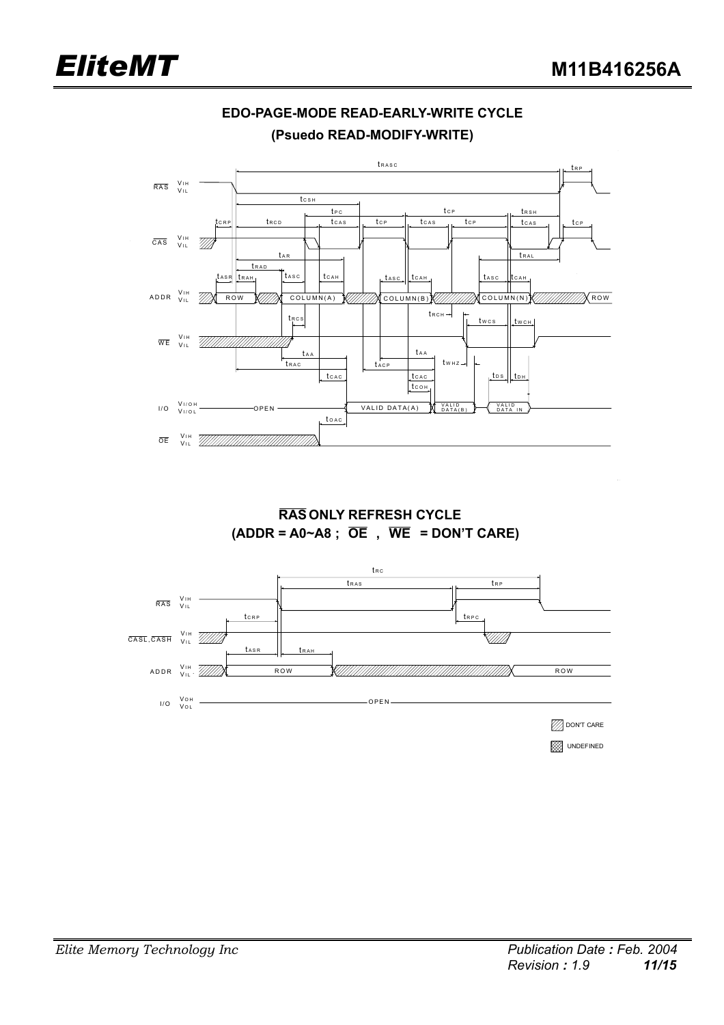

### **EDO-PAGE-MODE READ-EARLY-WRITE CYCLE (Psuedo READ-MODIFY-WRITE)**

 **RAS ONLY REFRESH CYCLE (ADDR = A0~A8 ; OE , WE = DON'T CARE)** 

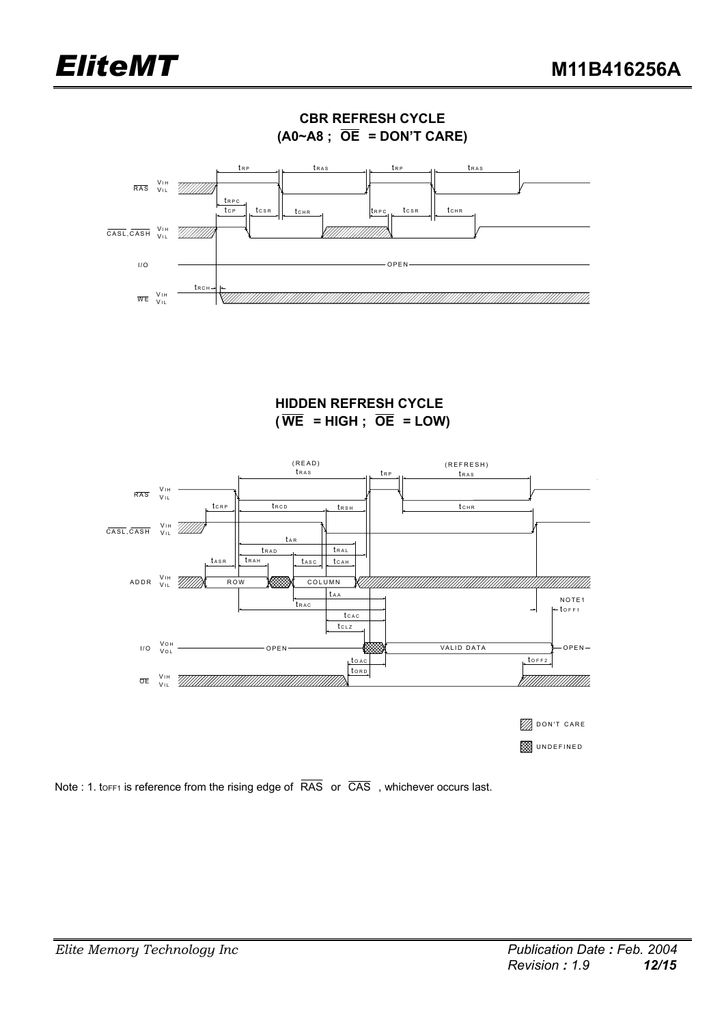

**HIDDEN REFRESH CYCLE**   $(\overline{WE} = HIGH ; \overline{OE} = LOW)$ 



Note : 1. tor F1 is reference from the rising edge of  $\overline{RAS}$  or  $\overline{CAS}$ , whichever occurs last.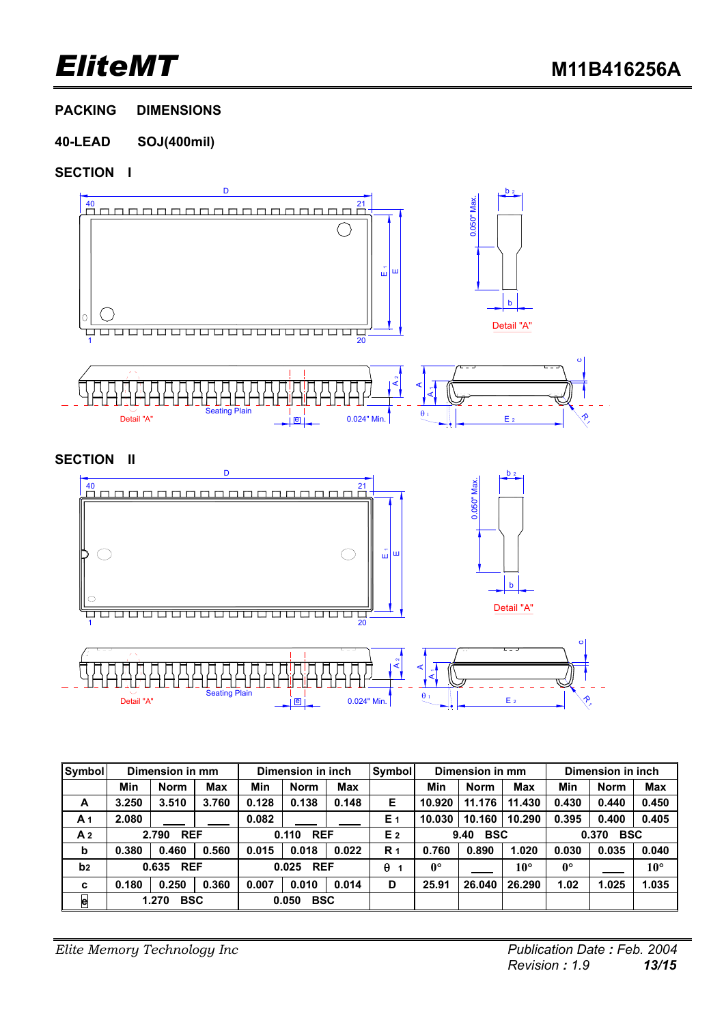**PACKING DIMENSIONS** 

### **40-LEAD SOJ(400mil)**

### **SECTION I**



| Symbol         | Dimension in mm     |             |            | Dimension in inch   |             |            | <b>Symbol</b>  | Dimension in mm    |             |                     | Dimension in inch |             |              |
|----------------|---------------------|-------------|------------|---------------------|-------------|------------|----------------|--------------------|-------------|---------------------|-------------------|-------------|--------------|
|                | Min                 | <b>Norm</b> | <b>Max</b> | Min                 | <b>Norm</b> | <b>Max</b> |                | Min                | <b>Norm</b> | <b>Max</b>          | Min               | <b>Norm</b> | <b>Max</b>   |
| A              | 3.250               | 3.510       | 3.760      | 0.128               | 0.138       | 0.148      | Е              | 10.920             | 11.176      | 11.430              | 0.430             | 0.440       | 0.450        |
| A <sub>1</sub> | 2.080               |             |            | 0.082               |             |            | E 1            | 10.030             | 10.160      | 10.290              | 0.395             | 0.400       | 0.405        |
| A <sub>2</sub> | <b>REF</b><br>2.790 |             |            | <b>REF</b><br>0.110 |             |            | E <sub>2</sub> | <b>BSC</b><br>9.40 |             | <b>BSC</b><br>0.370 |                   |             |              |
| b              | 0.380               | 0.460       | 0.560      | 0.015               | 0.018       | 0.022      | R <sub>1</sub> | 0.760              | 0.890       | 1.020               | 0.030             | 0.035       | 0.040        |
| b <sub>2</sub> | <b>REF</b><br>0.635 |             |            | <b>REF</b><br>0.025 |             |            | θ              | $0^{\circ}$        |             | $10^{\circ}$        | $0^{\circ}$       |             | $10^{\circ}$ |
| C              | 0.180               | 0.250       | 0.360      | 0.007               | 0.010       | 0.014      | D              | 25.91              | 26,040      | 26.290              | 1.02              | 1.025       | 1.035        |
| $\mathbf e$    | <b>BSC</b><br>1.270 |             |            | <b>BSC</b><br>0.050 |             |            |                |                    |             |                     |                   |             |              |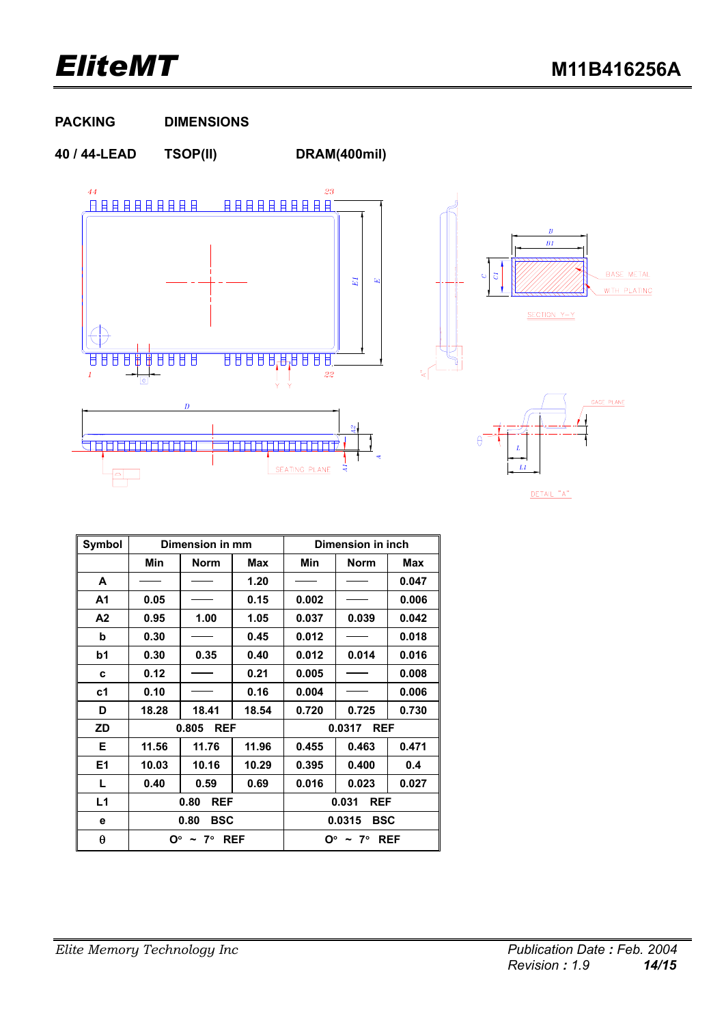### **PACKING DIMENSIONS**

**40 / 44-LEAD TSOP(II) DRAM(400mil)** 





DETAIL "A"

| Symbol         |       | Dimension in mm      |       | Dimension in inch    |             |            |  |  |
|----------------|-------|----------------------|-------|----------------------|-------------|------------|--|--|
|                | Min   | <b>Norm</b>          | Max   | Min                  | <b>Norm</b> | <b>Max</b> |  |  |
| A              |       |                      | 1.20  |                      |             | 0.047      |  |  |
| Α1             | 0.05  |                      | 0.15  | 0.002                |             | 0.006      |  |  |
| A <sub>2</sub> | 0.95  | 1.00                 | 1.05  | 0.037                | 0.039       | 0.042      |  |  |
| b              | 0.30  |                      | 0.45  | 0.012                |             | 0.018      |  |  |
| b1             | 0.30  | 0.35                 | 0.40  | 0.012                | 0.014       | 0.016      |  |  |
| C              | 0.12  |                      | 0.21  | 0.005                |             | 0.008      |  |  |
| c <sub>1</sub> | 0.10  |                      | 0.16  | 0.004                |             | 0.006      |  |  |
| D              | 18.28 | 18.41                | 18.54 | 0.720                | 0.725       | 0.730      |  |  |
| <b>ZD</b>      |       | 0.805<br><b>REF</b>  |       | 0.0317<br><b>REF</b> |             |            |  |  |
| Е              | 11.56 | 11.76                | 11.96 | 0.455                | 0.463       | 0.471      |  |  |
| E1             | 10.03 | 10.16                | 10.29 | 0.395                | 0.400       | 0.4        |  |  |
| L              | 0.40  | 0.59                 | 0.69  | 0.016                | 0.023       | 0.027      |  |  |
| L1             |       | <b>REF</b><br>0.80   |       | <b>REF</b><br>0.031  |             |            |  |  |
| е              |       | <b>BSC</b><br>0.80   |       | <b>BSC</b><br>0.0315 |             |            |  |  |
| θ              |       | $O^{\circ}$ ~ 7° REF |       | $O^{\circ}$ ~ 7° REF |             |            |  |  |